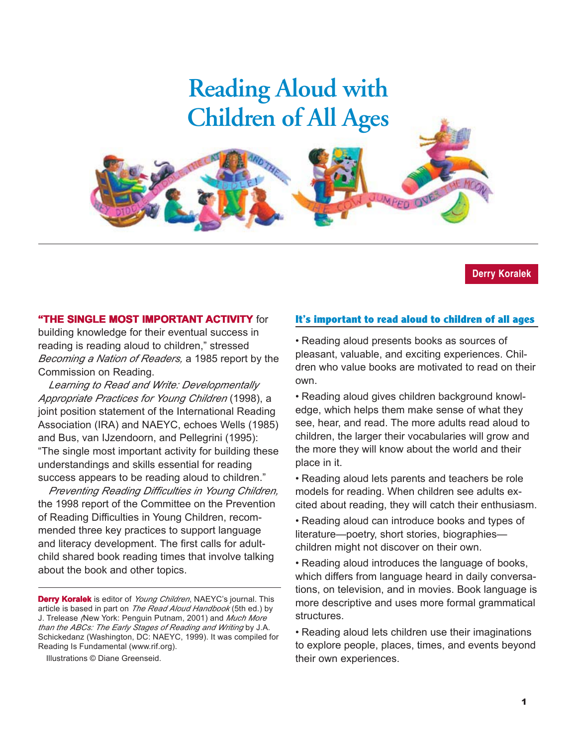# **Reading Aloud with Children of All Ages**

#### **Derry Koralek**

#### **"THE SINGLE MOST IMPORTANT ACTIVITY** for

building knowledge for their eventual success in reading is reading aloud to children," stressed *Becoming a Nation of Readers,* a 1985 report by the Commission on Reading.

*Learning to Read and Write: Developmentally Appropriate Practices for Young Children* (1998), a joint position statement of the International Reading Association (IRA) and NAEYC, echoes Wells (1985) and Bus, van IJzendoorn, and Pellegrini (1995): "The single most important activity for building these understandings and skills essential for reading success appears to be reading aloud to children."

*Preventing Reading Difficulties in Young Children,* the 1998 report of the Committee on the Prevention of Reading Difficulties in Young Children, recommended three key practices to support language and literacy development. The first calls for adultchild shared book reading times that involve talking about the book and other topics.

Illustrations © Diane Greenseid.

#### **It's important to read aloud to children of all ages**

UMPED ON

• Reading aloud presents books as sources of pleasant, valuable, and exciting experiences. Children who value books are motivated to read on their own.

• Reading aloud gives children background knowledge, which helps them make sense of what they see, hear, and read. The more adults read aloud to children, the larger their vocabularies will grow and the more they will know about the world and their place in it.

• Reading aloud lets parents and teachers be role models for reading. When children see adults excited about reading, they will catch their enthusiasm.

• Reading aloud can introduce books and types of literature—poetry, short stories, biographies children might not discover on their own.

• Reading aloud introduces the language of books, which differs from language heard in daily conversations, on television, and in movies. Book language is more descriptive and uses more formal grammatical structures.

• Reading aloud lets children use their imaginations to explore people, places, times, and events beyond their own experiences.

**Derry Koralek** is editor of *Young Children*, NAEYC's journal. This article is based in part on *The Read Aloud Handbook* (5th ed.) by J. Trelease *(*New York: Penguin Putnam, 2001) and *Much More than the ABCs: The Early Stages of Reading and Writing* by J.A. Schickedanz (Washington, DC: NAEYC, 1999). It was compiled for Reading Is Fundamental (www.rif.org).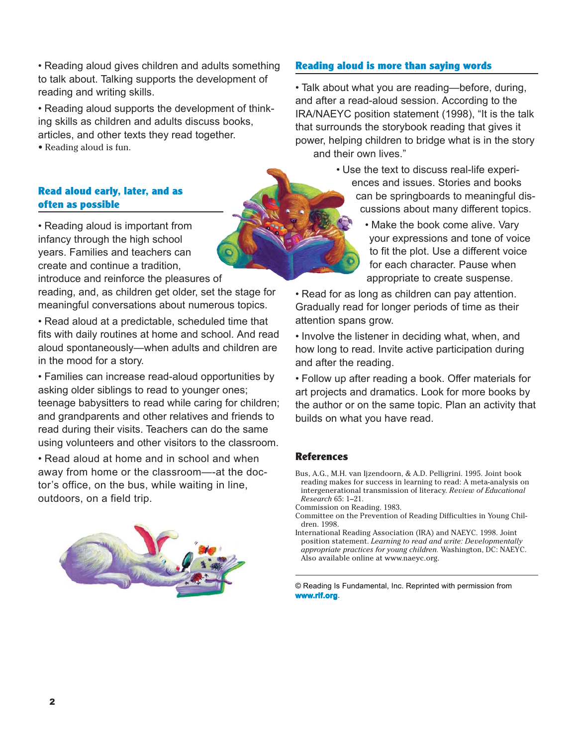• Reading aloud gives children and adults something to talk about. Talking supports the development of reading and writing skills.

• Reading aloud supports the development of thinking skills as children and adults discuss books, articles, and other texts they read together.

• Reading aloud is fun.

#### **Read aloud early, later, and as often as possible**

• Reading aloud is important from infancy through the high school years. Families and teachers can create and continue a tradition,

introduce and reinforce the pleasures of

reading, and, as children get older, set the stage for meaningful conversations about numerous topics.

• Read aloud at a predictable, scheduled time that fits with daily routines at home and school. And read aloud spontaneously—when adults and children are in the mood for a story.

• Families can increase read-aloud opportunities by asking older siblings to read to younger ones; teenage babysitters to read while caring for children; and grandparents and other relatives and friends to read during their visits. Teachers can do the same using volunteers and other visitors to the classroom.

• Read aloud at home and in school and when away from home or the classroom—-at the doctor's office, on the bus, while waiting in line, outdoors, on a field trip.



## **Reading aloud is more than saying words**

• Talk about what you are reading—before, during, and after a read-aloud session. According to the IRA/NAEYC position statement (1998), "It is the talk that surrounds the storybook reading that gives it power, helping children to bridge what is in the story and their own lives."

> • Use the text to discuss real-life experiences and issues. Stories and books can be springboards to meaningful discussions about many different topics.

> > • Make the book come alive. Vary your expressions and tone of voice to fit the plot. Use a different voice for each character. Pause when appropriate to create suspense.

• Read for as long as children can pay attention. Gradually read for longer periods of time as their attention spans grow.

• Involve the listener in deciding what, when, and how long to read. Invite active participation during and after the reading.

• Follow up after reading a book. Offer materials for art projects and dramatics. Look for more books by the author or on the same topic. Plan an activity that builds on what you have read.

#### **References**

- Bus, A.G., M.H. van Ijzendoorn, & A.D. Pelligrini. 1995. Joint book reading makes for success in learning to read: A meta-analysis on intergenerational transmission of literacy. *Review of Educational Research* 65: 1–21.
- Commission on Reading. 1983.
- Committee on the Prevention of Reading Difficulties in Young Children. 1998.
- International Reading Association (IRA) and NAEYC. 1998. Joint position statement. *Learning to read and write: Developmentally appropriate practices for young children.* Washington, DC: NAEYC. Also available online at www.naeyc.org.

© Reading Is Fundamental, Inc. Reprinted with permission from **www.rif.org**.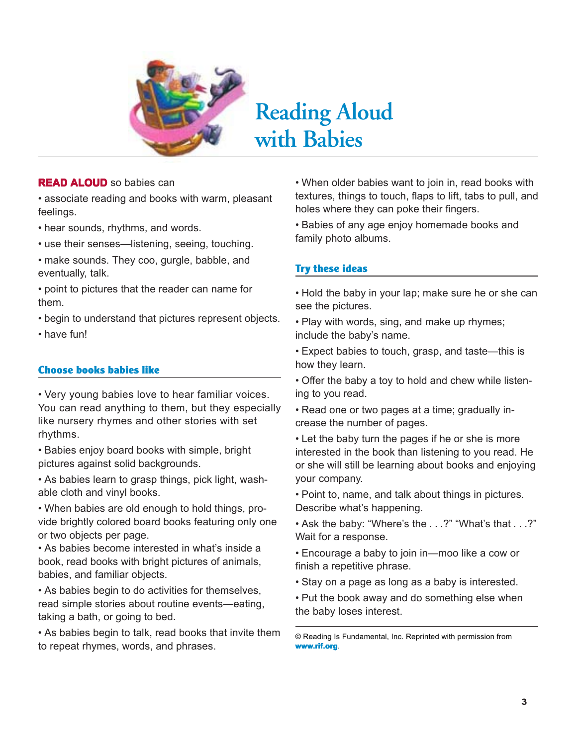

# **Reading Aloud with Babies**

#### **READ ALOUD** so babies can

• associate reading and books with warm, pleasant feelings.

- hear sounds, rhythms, and words.
- use their senses—listening, seeing, touching.
- make sounds. They coo, gurgle, babble, and eventually, talk.
- point to pictures that the reader can name for them.
- begin to understand that pictures represent objects.
- have fun!

## **Choose books babies like**

• Very young babies love to hear familiar voices. You can read anything to them, but they especially like nursery rhymes and other stories with set rhythms.

• Babies enjoy board books with simple, bright pictures against solid backgrounds.

• As babies learn to grasp things, pick light, washable cloth and vinyl books.

• When babies are old enough to hold things, provide brightly colored board books featuring only one or two objects per page.

• As babies become interested in what's inside a book, read books with bright pictures of animals, babies, and familiar objects.

• As babies begin to do activities for themselves, read simple stories about routine events—eating, taking a bath, or going to bed.

• As babies begin to talk, read books that invite them to repeat rhymes, words, and phrases.

• When older babies want to join in, read books with textures, things to touch, flaps to lift, tabs to pull, and holes where they can poke their fingers.

• Babies of any age enjoy homemade books and family photo albums.

# **Try these ideas**

- Hold the baby in your lap; make sure he or she can see the pictures.
- Play with words, sing, and make up rhymes; include the baby's name.
- Expect babies to touch, grasp, and taste—this is how they learn.
- Offer the baby a toy to hold and chew while listening to you read.
- Read one or two pages at a time; gradually increase the number of pages.
- Let the baby turn the pages if he or she is more interested in the book than listening to you read. He or she will still be learning about books and enjoying your company.
- Point to, name, and talk about things in pictures. Describe what's happening.
- Ask the baby: "Where's the . . .?" "What's that . . .?" Wait for a response.
- Encourage a baby to join in—moo like a cow or finish a repetitive phrase.
- Stay on a page as long as a baby is interested.
- Put the book away and do something else when the baby loses interest.

<sup>©</sup> Reading Is Fundamental, Inc. Reprinted with permission from **www.rif.org**.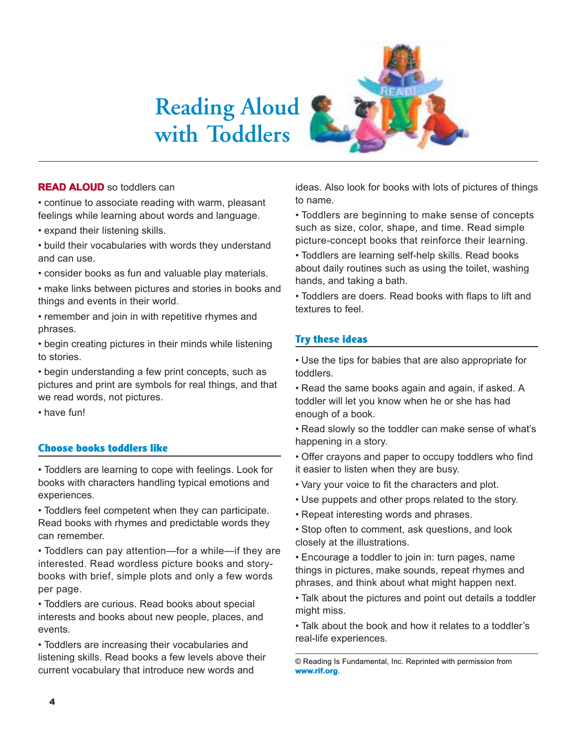# **Reading Aloud with Toddlers**



#### **READ ALOUD** so toddlers can

• continue to associate reading with warm, pleasant feelings while learning about words and language.

- expand their listening skills.
- build their vocabularies with words they understand and can use.
- consider books as fun and valuable play materials.
- make links between pictures and stories in books and things and events in their world.
- remember and join in with repetitive rhymes and phrases.
- begin creating pictures in their minds while listening to stories.
- begin understanding a few print concepts, such as pictures and print are symbols for real things, and that we read words, not pictures.
- have fun!

## **Choose books toddlers like**

• Toddlers are learning to cope with feelings. Look for books with characters handling typical emotions and experiences.

• Toddlers feel competent when they can participate. Read books with rhymes and predictable words they can remember.

• Toddlers can pay attention—for a while—if they are interested. Read wordless picture books and storybooks with brief, simple plots and only a few words per page.

• Toddlers are curious. Read books about special interests and books about new people, places, and events.

• Toddlers are increasing their vocabularies and listening skills. Read books a few levels above their current vocabulary that introduce new words and

ideas. Also look for books with lots of pictures of things to name.

• Toddlers are beginning to make sense of concepts such as size, color, shape, and time. Read simple picture-concept books that reinforce their learning.

• Toddlers are learning self-help skills. Read books about daily routines such as using the toilet, washing hands, and taking a bath.

• Toddlers are doers. Read books with flaps to lift and textures to feel.

#### **Try these ideas**

• Use the tips for babies that are also appropriate for toddlers.

• Read the same books again and again, if asked. A toddler will let you know when he or she has had enough of a book.

- Read slowly so the toddler can make sense of what's happening in a story.
- Offer crayons and paper to occupy toddlers who find it easier to listen when they are busy.
- Vary your voice to fit the characters and plot.
- Use puppets and other props related to the story.
- Repeat interesting words and phrases.

• Stop often to comment, ask questions, and look closely at the illustrations.

• Encourage a toddler to join in: turn pages, name things in pictures, make sounds, repeat rhymes and phrases, and think about what might happen next.

• Talk about the pictures and point out details a toddler might miss.

• Talk about the book and how it relates to a toddler's real-life experiences.

© Reading Is Fundamental, Inc. Reprinted with permission from **www.rif.org**.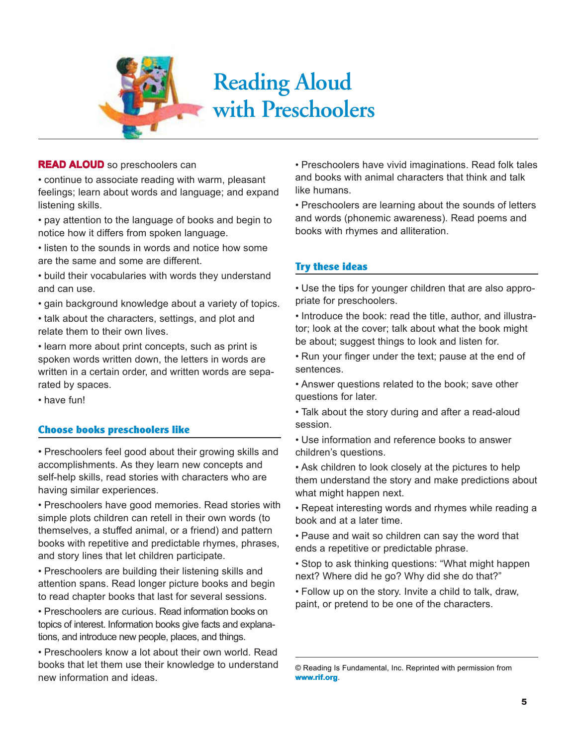

#### **READ ALOUD** so preschoolers can

• continue to associate reading with warm, pleasant feelings; learn about words and language; and expand listening skills.

• pay attention to the language of books and begin to notice how it differs from spoken language.

• listen to the sounds in words and notice how some are the same and some are different.

• build their vocabularies with words they understand and can use.

• gain background knowledge about a variety of topics.

• talk about the characters, settings, and plot and relate them to their own lives.

• learn more about print concepts, such as print is spoken words written down, the letters in words are written in a certain order, and written words are separated by spaces.

• have fun!

#### **Choose books preschoolers like**

• Preschoolers feel good about their growing skills and accomplishments. As they learn new concepts and self-help skills, read stories with characters who are having similar experiences.

• Preschoolers have good memories. Read stories with simple plots children can retell in their own words (to themselves, a stuffed animal, or a friend) and pattern books with repetitive and predictable rhymes, phrases, and story lines that let children participate.

• Preschoolers are building their listening skills and attention spans. Read longer picture books and begin to read chapter books that last for several sessions.

• Preschoolers are curious. Read information books on topics of interest. Information books give facts and explanations, and introduce new people, places, and things.

• Preschoolers know a lot about their own world. Read books that let them use their knowledge to understand new information and ideas.

• Preschoolers have vivid imaginations. Read folk tales and books with animal characters that think and talk like humans.

• Preschoolers are learning about the sounds of letters and words (phonemic awareness). Read poems and books with rhymes and alliteration.

## **Try these ideas**

• Use the tips for younger children that are also appropriate for preschoolers.

• Introduce the book: read the title, author, and illustrator; look at the cover; talk about what the book might be about; suggest things to look and listen for.

• Run your finger under the text; pause at the end of sentences.

• Answer questions related to the book; save other questions for later.

• Talk about the story during and after a read-aloud session.

• Use information and reference books to answer children's questions.

• Ask children to look closely at the pictures to help them understand the story and make predictions about what might happen next.

• Repeat interesting words and rhymes while reading a book and at a later time.

• Pause and wait so children can say the word that ends a repetitive or predictable phrase.

• Stop to ask thinking questions: "What might happen next? Where did he go? Why did she do that?"

• Follow up on the story. Invite a child to talk, draw, paint, or pretend to be one of the characters.

<sup>©</sup> Reading Is Fundamental, Inc. Reprinted with permission from **www.rif.org**.